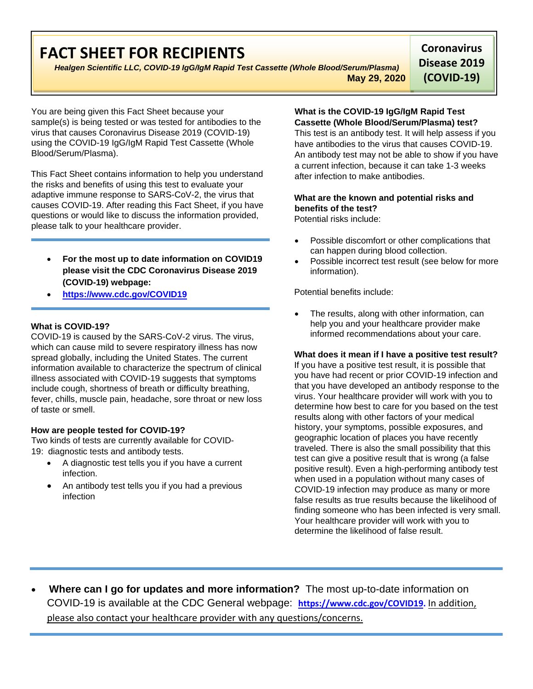# **FACT SHEET FOR RECIPIENTS**

*Healgen Scientific LLC, COVID-19 IgG/IgM Rapid Test Cassette (Whole Blood/Serum/Plasma)* **May 29, 2020**

**Coronavirus Disease 2019 (COVID-19)**

You are being given this Fact Sheet because your sample(s) is being tested or was tested for antibodies to the virus that causes Coronavirus Disease 2019 (COVID-19) using the COVID-19 IgG/IgM Rapid Test Cassette (Whole Blood/Serum/Plasma).

This Fact Sheet contains information to help you understand the risks and benefits of using this test to evaluate your adaptive immune response to SARS-CoV-2, the virus that causes COVID-19. After reading this Fact Sheet, if you have questions or would like to discuss the information provided, please talk to your healthcare provider.

- **For the most up to date information on COVID19 please visit the CDC Coronavirus Disease 2019 (COVID-19) webpage:**
- **[https://www.cdc.gov/COVID19](https://www.cdc.gov/nCoV)**

## **What is COVID-19?**

COVID-19 is caused by the SARS-CoV-2 virus. The virus, which can cause mild to severe respiratory illness has now spread globally, including the United States. The current information available to characterize the spectrum of clinical illness associated with COVID-19 suggests that symptoms include cough, shortness of breath or difficulty breathing, fever, chills, muscle pain, headache, sore throat or new loss of taste or smell.

## **How are people tested for COVID-19?**

Two kinds of tests are currently available for COVID-19: [diagnostic tests](https://www.cdc.gov/coronavirus/2019-ncov/testing/diagnostic-testing.html) and [antibody tests.](https://www.cdc.gov/coronavirus/2019-ncov/testing/serology-overview.html)

- A diagnostic test tells you if you have a current infection.
- An antibody test tells you if you had a previous infection

#### **What is the COVID-19 IgG/IgM Rapid Test Cassette (Whole Blood/Serum/Plasma) test?**

This test is an antibody test. It will help assess if you have antibodies to the virus that causes COVID-19. An antibody test may not be able to show if you have a current infection, because it can take 1-3 weeks after infection to make antibodies.

## **What are the known and potential risks and benefits of the test?**

Potential risks include:

- Possible discomfort or other complications that can happen during blood collection.
- Possible incorrect test result (see below for more information).

Potential benefits include:

The results, along with other information, can help you and your healthcare provider make informed recommendations about your care.

## **What does it mean if I have a positive test result?**

If you have a positive test result, it is possible that you have had recent or prior COVID-19 infection and that you have developed an antibody response to the virus. Your healthcare provider will work with you to determine how best to care for you based on the test results along with other factors of your medical history, your symptoms, possible exposures, and geographic location of places you have recently traveled. There is also the small possibility that this test can give a positive result that is wrong (a false positive result). Even a high-performing antibody test when used in a population without many cases of COVID-19 infection may produce as many or more false results as true results because the likelihood of finding someone who has been infected is very small. Your healthcare provider will work with you to determine the likelihood of false result.

• **Where can I go for updates and more information?** The most up-to-date information on COVID-19 is available at the CDC General webpage: **[https://www.cdc.gov/COVID19.](https://www.cdc.gov/nCoV)** In addition, please also contact your healthcare provider with any questions/concerns.